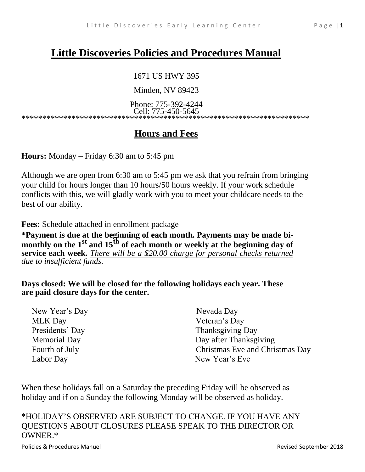# **Little Discoveries Policies and Procedures Manual**

#### 1671 US HWY 395

Minden, NV 89423

Phone: 775-392-4244 Cell: 775-450-5645

\*\*\*\*\*\*\*\*\*\*\*\*\*\*\*\*\*\*\*\*\*\*\*\*\*\*\*\*\*\*\*\*\*\*\*\*\*\*\*\*\*\*\*\*\*\*\*\*\*\*\*\*\*\*\*\*\*\*\*\*\*\*\*\*\*\*\*\*\*

# **Hours and Fees**

**Hours:** Monday – Friday 6:30 am to 5:45 pm

Although we are open from 6:30 am to 5:45 pm we ask that you refrain from bringing your child for hours longer than 10 hours/50 hours weekly. If your work schedule conflicts with this, we will gladly work with you to meet your childcare needs to the best of our ability.

**Fees:** Schedule attached in enrollment package

**\*Payment is due at the beginning of each month. Payments may be made bimonthly on the 1st and 15th of each month or weekly at the beginning day of service each week.** *There will be a \$20.00 charge for personal checks returned due to insufficient funds.*

**Days closed: We will be closed for the following holidays each year. These are paid closure days for the center.**

| New Year's Day      | Nevada Day                      |
|---------------------|---------------------------------|
| <b>MLK</b> Day      | Veteran's Day                   |
| Presidents' Day     | <b>Thanksgiving Day</b>         |
| <b>Memorial Day</b> | Day after Thanksgiving          |
| Fourth of July      | Christmas Eve and Christmas Day |
| Labor Day           | New Year's Eve                  |

When these holidays fall on a Saturday the preceding Friday will be observed as holiday and if on a Sunday the following Monday will be observed as holiday.

\*HOLIDAY'S OBSERVED ARE SUBJECT TO CHANGE. IF YOU HAVE ANY QUESTIONS ABOUT CLOSURES PLEASE SPEAK TO THE DIRECTOR OR OWNER.\*

Policies & Procedures Manuel Revised September 2018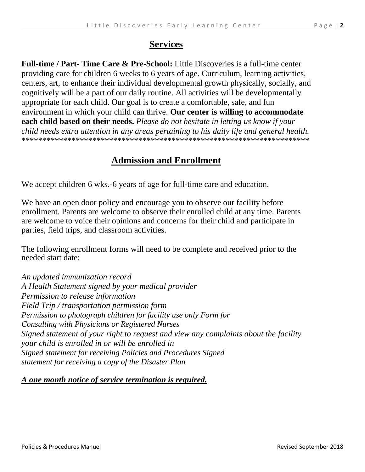#### **Services**

**Full-time / Part- Time Care & Pre-School:** Little Discoveries is a full-time center providing care for children 6 weeks to 6 years of age. Curriculum, learning activities, centers, art, to enhance their individual developmental growth physically, socially, and cognitively will be a part of our daily routine. All activities will be developmentally appropriate for each child. Our goal is to create a comfortable, safe, and fun environment in which your child can thrive. **Our center is willing to accommodate each child based on their needs.** *Please do not hesitate in letting us know if your child needs extra attention in any areas pertaining to his daily life and general health.* \*\*\*\*\*\*\*\*\*\*\*\*\*\*\*\*\*\*\*\*\*\*\*\*\*\*\*\*\*\*\*\*\*\*\*\*\*\*\*\*\*\*\*\*\*\*\*\*\*\*\*\*\*\*\*\*\*\*\*\*\*\*\*\*\*\*\*\*\*

#### **Admission and Enrollment**

We accept children 6 wks.-6 years of age for full-time care and education.

We have an open door policy and encourage you to observe our facility before enrollment. Parents are welcome to observe their enrolled child at any time. Parents are welcome to voice their opinions and concerns for their child and participate in parties, field trips, and classroom activities.

The following enrollment forms will need to be complete and received prior to the needed start date:

*An updated immunization record A Health Statement signed by your medical provider Permission to release information Field Trip / transportation permission form Permission to photograph children for facility use only Form for Consulting with Physicians or Registered Nurses Signed statement of your right to request and view any complaints about the facility your child is enrolled in or will be enrolled in Signed statement for receiving Policies and Procedures Signed statement for receiving a copy of the Disaster Plan*

#### *A one month notice of service termination is required.*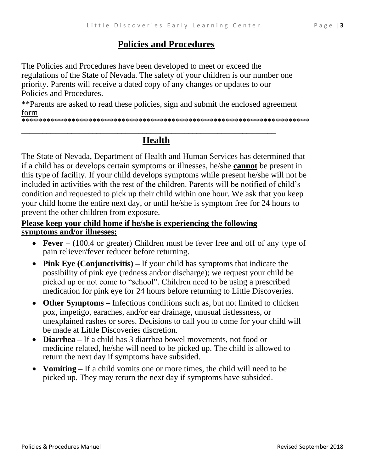#### **Policies and Procedures**

The Policies and Procedures have been developed to meet or exceed the regulations of the State of Nevada. The safety of your children is our number one priority. Parents will receive a dated copy of any changes or updates to our Policies and Procedures.

\*\*Parents are asked to read these policies, sign and submit the enclosed agreement form

\*\*\*\*\*\*\*\*\*\*\*\*\*\*\*\*\*\*\*\*\*\*\*\*\*\*\*\*\*\*\*\*\*\*\*\*\*\*\*\*\*\*\*\*\*\*\*\*\*\*\*\*\*\*\*\*\*\*\*\*\*\*\*\*\*\*\*\*\*

## **Health**

*\_\_\_\_\_\_\_\_\_\_\_\_\_\_\_\_\_\_\_\_\_\_\_\_\_\_\_\_\_\_\_\_\_\_\_\_\_\_\_\_\_\_\_\_\_\_\_\_\_\_\_\_\_\_\_\_\_\_\_\_\_*

The State of Nevada, Department of Health and Human Services has determined that if a child has or develops certain symptoms or illnesses, he/she **cannot** be present in this type of facility. If your child develops symptoms while present he/she will not be included in activities with the rest of the children. Parents will be notified of child's condition and requested to pick up their child within one hour. We ask that you keep your child home the entire next day, or until he/she is symptom free for 24 hours to prevent the other children from exposure.

#### **Please keep your child home if he/she is experiencing the following symptoms and/or illnesses:**

- **Fever –** (100.4 or greater) Children must be fever free and off of any type of pain reliever/fever reducer before returning.
- **Pink Eye (Conjunctivitis)** If your child has symptoms that indicate the possibility of pink eye (redness and/or discharge); we request your child be picked up or not come to "school". Children need to be using a prescribed medication for pink eye for 24 hours before returning to Little Discoveries.
- **Other Symptoms** Infectious conditions such as, but not limited to chicken pox, impetigo, earaches, and/or ear drainage, unusual listlessness, or unexplained rashes or sores. Decisions to call you to come for your child will be made at Little Discoveries discretion.
- **Diarrhea –** If a child has 3 diarrhea bowel movements, not food or medicine related, he/she will need to be picked up. The child is allowed to return the next day if symptoms have subsided.
- **Vomiting** If a child vomits one or more times, the child will need to be picked up. They may return the next day if symptoms have subsided.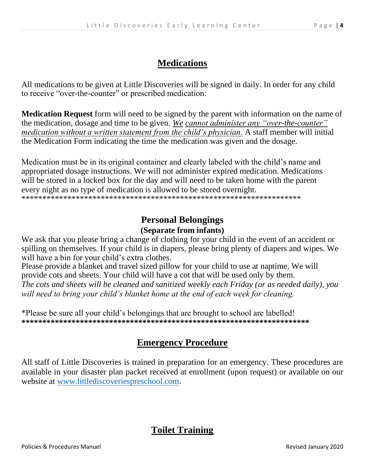## **Medications**

All medications to be given at Little Discoveries will be signed in daily. In order for any child to receive "over-the-counter" or prescribed medication:

**Medication Request** form will need to be signed by the parent with information on the name of the medication, dosage and time to be given. *We cannot administer any "over-the-counter" medication without a written statement from the child's physician.* A staff member will initial the Medication Form indicating the time the medication was given and the dosage.

Medication must be in its original container and clearly labeled with the child's name and appropriated dosage instructions. We will not administer expired medication. Medications will be stored in a locked box for the day and will need to be taken home with the parent every night as no type of medication is allowed to be stored overnight. \*\*\*\*\*\*\*\*\*\*\*\*\*\*\*\*\*\*\*\*\*\*\*\*\*\*\*\*\*\*\*\*\*\*\*\*\*\*\*\*\*\*\*\*\*\*\*\*\*\*\*\*\*\*\*\*\*\*\*\*\*\*\*\*\*\*\*

### **Personal Belongings (Separate from infants)**

We ask that you please bring a change of clothing for your child in the event of an accident or spilling on themselves. If your child is in diapers, please bring plenty of diapers and wipes. We will have a bin for your child's extra clothes.

Please provide a blanket and travel sized pillow for your child to use at naptime. We will provide cots and sheets. Your child will have a cot that will be used only by them. *The cots and sheets will be cleaned and sanitized weekly each Friday (or as needed daily), you will need to bring your child's blanket home at the end of each week for cleaning.*

\*Please be sure all your child's belongings that are brought to school are labelled! **\*\*\*\*\*\*\*\*\*\*\*\*\*\*\*\*\*\*\*\*\*\*\*\*\*\*\*\*\*\*\*\*\*\*\*\*\*\*\*\*\*\*\*\*\*\*\*\*\*\*\*\*\*\*\*\*\*\*\*\*\*\*\*\*\*\*\*\*\***

## **Emergency Procedure**

All staff of Little Discoveries is trained in preparation for an emergency. These procedures are available in your disaster plan packet received at enrollment (upon request) or available on our website at [www.littlediscoveriespreschool.com.](http://www.littlediscoveriespreschool.com/)

## **Toilet Training**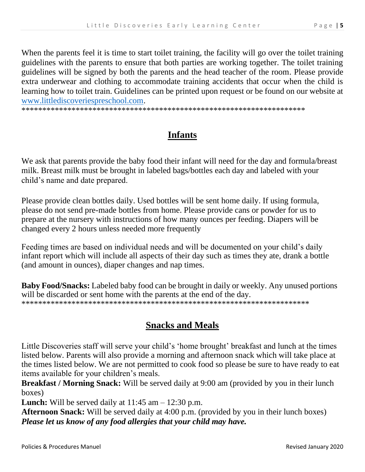When the parents feel it is time to start toilet training, the facility will go over the toilet training guidelines with the parents to ensure that both parties are working together. The toilet training guidelines will be signed by both the parents and the head teacher of the room. Please provide extra underwear and clothing to accommodate training accidents that occur when the child is learning how to toilet train. Guidelines can be printed upon request or be found on our website at www.littlediscoveriespreschool.com.

# **Infants**

We ask that parents provide the baby food their infant will need for the day and formula/breast milk. Breast milk must be brought in labeled bags/bottles each day and labeled with your child's name and date prepared.

Please provide clean bottles daily. Used bottles will be sent home daily. If using formula, please do not send pre-made bottles from home. Please provide cans or powder for us to prepare at the nursery with instructions of how many ounces per feeding. Diapers will be changed every 2 hours unless needed more frequently

Feeding times are based on individual needs and will be documented on your child's daily infant report which will include all aspects of their day such as times they ate, drank a bottle (and amount in ounces), diaper changes and nap times.

Baby Food/Snacks: Labeled baby food can be brought in daily or weekly. Any unused portions will be discarded or sent home with the parents at the end of the day. 

## **Snacks and Meals**

Little Discoveries staff will serve your child's 'home brought' breakfast and lunch at the times listed below. Parents will also provide a morning and afternoon snack which will take place at the times listed below. We are not permitted to cook food so please be sure to have ready to eat items available for your children's meals.

Breakfast / Morning Snack: Will be served daily at 9:00 am (provided by you in their lunch boxes)

**Lunch:** Will be served daily at  $11:45$  am  $- 12:30$  p.m.

Afternoon Snack: Will be served daily at 4:00 p.m. (provided by you in their lunch boxes) Please let us know of any food allergies that your child may have.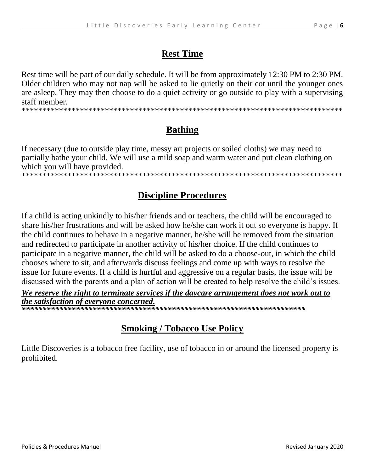### **Rest Time**

Rest time will be part of our daily schedule. It will be from approximately 12:30 PM to 2:30 PM. Older children who may not nap will be asked to lie quietly on their cot until the younger ones are asleep. They may then choose to do a quiet activity or go outside to play with a supervising staff member.

## **Bathing**

If necessary (due to outside play time, messy art projects or soiled cloths) we may need to partially bathe your child. We will use a mild soap and warm water and put clean clothing on which you will have provided.

## **Discipline Procedures**

If a child is acting unkindly to his/her friends and or teachers, the child will be encouraged to share his/her frustrations and will be asked how he/she can work it out so everyone is happy. If the child continues to behave in a negative manner, he/she will be removed from the situation and redirected to participate in another activity of his/her choice. If the child continues to participate in a negative manner, the child will be asked to do a choose-out, in which the child chooses where to sit, and afterwards discuss feelings and come up with ways to resolve the issue for future events. If a child is hurtful and aggressive on a regular basis, the issue will be discussed with the parents and a plan of action will be created to help resolve the child's issues.

We reserve the right to terminate services if the daycare arrangement does not work out to the satisfaction of everyone concerned.

## **Smoking / Tobacco Use Policy**

Little Discoveries is a tobacco free facility, use of tobacco in or around the licensed property is prohibited.